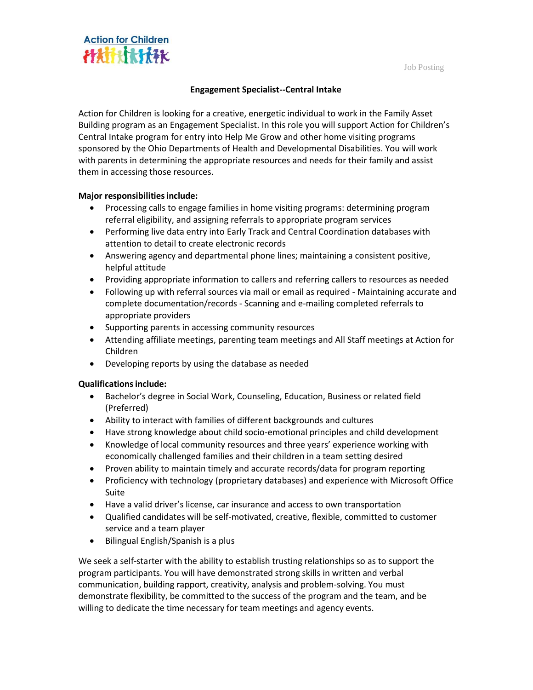Job Posting



## **Engagement Specialist--Central Intake**

Action for Children is looking for a creative, energetic individual to work in the Family Asset Building program as an Engagement Specialist. In this role you will support Action for Children's Central Intake program for entry into Help Me Grow and other home visiting programs sponsored by the Ohio Departments of Health and Developmental Disabilities. You will work with parents in determining the appropriate resources and needs for their family and assist them in accessing those resources.

## **Major responsibilitiesinclude:**

- Processing calls to engage families in home visiting programs: determining program referral eligibility, and assigning referrals to appropriate program services
- Performing live data entry into Early Track and Central Coordination databases with attention to detail to create electronic records
- Answering agency and departmental phone lines; maintaining a consistent positive, helpful attitude
- Providing appropriate information to callers and referring callers to resources as needed
- Following up with referral sources via mail or email as required Maintaining accurate and complete documentation/records - Scanning and e-mailing completed referrals to appropriate providers
- Supporting parents in accessing community resources
- Attending affiliate meetings, parenting team meetings and All Staff meetings at Action for Children
- Developing reports by using the database as needed

## **Qualificationsinclude:**

- Bachelor's degree in Social Work, Counseling, Education, Business or related field (Preferred)
- Ability to interact with families of different backgrounds and cultures
- Have strong knowledge about child socio-emotional principles and child development
- Knowledge of local community resources and three years' experience working with economically challenged families and their children in a team setting desired
- Proven ability to maintain timely and accurate records/data for program reporting
- Proficiency with technology (proprietary databases) and experience with Microsoft Office Suite
- Have a valid driver's license, car insurance and access to own transportation
- Qualified candidates will be self-motivated, creative, flexible, committed to customer service and a team player
- Bilingual English/Spanish is a plus

We seek a self-starter with the ability to establish trusting relationships so as to support the program participants. You will have demonstrated strong skills in written and verbal communication, building rapport, creativity, analysis and problem-solving. You must demonstrate flexibility, be committed to the success of the program and the team, and be willing to dedicate the time necessary for team meetings and agency events.